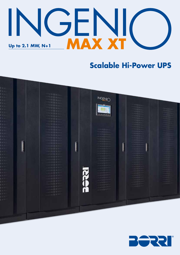

# **Scalable Hi-Power UPS**



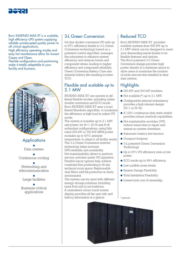

Borri INGENIO MAX XT is a scalable, high efficiency UPS system supplying reliable uninterrupted quality power to all critical applications.

High efficiency operating modes and easy hot maintenance allow for lowest Capex and Opex.

Flexible configuration and positioning make it totally adaptable to your facility and business.



### **Applications**

● Data centres

#### ● Continuous cooling

● Networking and telecommunication

● Large facilities

● Business-critical applications

### 3-L Green Conversion

On-line double conversion VFI with up to 97% efficiency thanks to 3-L Green Conversion technology based on a patented control algorithm, manages the subsystem to enhance system efficiency and reduces losses and component stress, leading to higher efficiency and component reliability. Green Conversion Battery Care also extends battery life resulting in lower TCO.

### Flexible and scalable up to 2.1 MW

INGENIO MAX XT can operate in different flexible modes, including online double conversion and ECO mode. Borri INGENIO MAX XT uses a Load Based Shutdown algorithm to maximize the efficiency at light load in online VFI mode.

The system is scalable up to 2.1 MW unit power, for N+1, N+N and A+B redundant configurations, using fully rated 250 kW or 300 kW MPM power modules up to 40°C ambient temperature, to adapt to all facility needs. The 3-L Green Conversion inverter technology helps increase UPS reliability and availability. Hot maintainability allows to perform service activities under VFI operation. Flexible layout options help achieve constraint free positioning to fit any technical room space. Replaceable dust filters add full protection in dusty environment.

The system can be used with different energy storage solutions, including Lead Acid and Li-ion batteries. A centralized colour touch screen display provides all the user info and history information at a glance.  $\|\ast_{\text{optional}}\|$ 

### Reduced TCO

Borri INGENIO MAX XT provides scalable systems from 900 kW up to 2.1 MW which can be designed to meet your demanding needs thanks to its flexible features and options. The Borri patented 3-L Green Conversion design provides high power density in a minimum space to allow users to maximize the number of racks and servers installed in their data centres.

### **Highlights**

- 250 kW and 300 kW modules.
- $\bullet$  Hot scalable(\*) up to 2.1 MW.
- Configurable internal redundancy provides a fault-tolerant design  $(N+1 \text{ or } N+N)$ .
- A 125% continuous-duty static switch provides robust overload capabilities.
- Hot maintainable modules (VFI) reduce mean time to repair and ensure no system downtime.
- Automatic battery test function.
- Compact footprint.
- 3-L patented Green Conversion Technology.
- Up to 97% VFI efficiency even at low power.
- ECO mode up to 99% efficiency.
- Low audible noise levels.
- System Design Flexibility.
- Total Installation Flexibility.
- Lowest total cost of ownership.

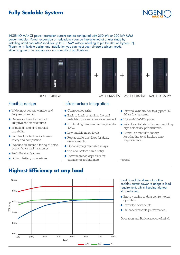## **Fully Scalable System**

INGENIO MAX XT power protection system can be configured with 250 kW or 300 kW MPM power modules. Power expansion or redundancy can be implemented at a later stage by installing additional MPM modules up to 2.1 MW without needing to put the UPS on bypass (\*). Thanks to its flexible design and installation you can meet your diverse business needs, either to grow or to revamp your mission-critical applications.







DAY 1 : 1200 kW DAY 2 : 1500 kW

- Wide input voltage window and frequency ranges.
- Generator friendly thanks to adaptive soft start features.
- In-built 2N and N+1 parallel capability.
- Backfeed protection for human safety and compliance.
- Provides full mains filtering of noise, power factor and harmonics.
- Peak Shaving features.
- Lithium Battery compatible.

### Flexible design **Infrastructure integration**

- Compact footprint.
- Back-to-back or against-the-wall installation, no rear clearance needed.
- No derating temperature range up to  $40^{\circ}$ C.
- Low audible noise levels.
- Replaceable dust filter for dusty environments.
- Optional programmable relays.
- Top and bottom cable entry.
- Power increase capability for capacity or redundance.

● External synchro box to support 2N, 2/3 or 3/ 4 systems.

DAY 3 : 1800 kW DAY 4 : 2100 kW

- Hot scalable VFI option.
- In-built central static bypass providing high selectivity performance.
- Central or modular battery for adapting to all backup time requirements.

\*optional

## **Highest Efficiency at any load**



Load Based Shutdown algorithm enables output power to adapt to load requirement, whilst keeping highest VFI protection.

- Energy saving at data centre typical operation.
- Extended service life.
- Enhanced module performance.

Operation and Budget peace of mind.

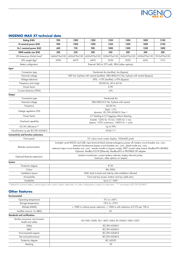

#### **INGENIO MAX XT technical data**

| Rating (kVA)                         | 900                                                                                                                                                                                                                                                                                                                                                                                                             | 1000          | 1200          | 1250              | 1500          | 1800          | 2100          |
|--------------------------------------|-----------------------------------------------------------------------------------------------------------------------------------------------------------------------------------------------------------------------------------------------------------------------------------------------------------------------------------------------------------------------------------------------------------------|---------------|---------------|-------------------|---------------|---------------|---------------|
| N nominal power (kW)                 | 900                                                                                                                                                                                                                                                                                                                                                                                                             | 1000          | 1200          | 1250              | 1500          | 1800          | 2100          |
| N+1 nominal power (kW)               | 600                                                                                                                                                                                                                                                                                                                                                                                                             | 750           | 900           | 1000              | 1200          | 1500          | 1800          |
| MPM module size (kW)                 | 300                                                                                                                                                                                                                                                                                                                                                                                                             | 250           | 300           | 250               | 300           | 300           | 300           |
| UPS dimensions WxDxH (mm)*           | 3440x970x2100                                                                                                                                                                                                                                                                                                                                                                                                   | 4320x970x2100 | 4320x970x2100 | 5200x970x2100     | 5650x970x2100 | 6930x970x2100 | 7810x970x2100 |
| UPS weight (kg)*                     | 3590                                                                                                                                                                                                                                                                                                                                                                                                            | 4470          | 4470          | 5350              | 5350          | 6330          | 7210          |
| <b>Battery configuration</b>         | External 360 to 372 cells, VRLA (other options)                                                                                                                                                                                                                                                                                                                                                                 |               |               |                   |               |               |               |
| Input                                |                                                                                                                                                                                                                                                                                                                                                                                                                 |               |               |                   |               |               |               |
| Connection type                      | Hardwired 4w (rectifier), 4w (bypass)                                                                                                                                                                                                                                                                                                                                                                           |               |               |                   |               |               |               |
| Nominal voltage                      | 400 Vac 3-phase with neutral (rectifier), 380/400/415 Vac 3-phase with neutral (bypass)                                                                                                                                                                                                                                                                                                                         |               |               |                   |               |               |               |
| Voltage tolerance                    | $-20\%$ , +15% (rectifier); $\pm 10\%$ (bypass)                                                                                                                                                                                                                                                                                                                                                                 |               |               |                   |               |               |               |
| Frequency and range                  | 50/60 Hz, 45 to 65 Hz                                                                                                                                                                                                                                                                                                                                                                                           |               |               |                   |               |               |               |
| Power factor                         | 0.99                                                                                                                                                                                                                                                                                                                                                                                                            |               |               |                   |               |               |               |
| Current distortion (THDi)            | $~13\%$                                                                                                                                                                                                                                                                                                                                                                                                         |               |               |                   |               |               |               |
| Output                               |                                                                                                                                                                                                                                                                                                                                                                                                                 |               |               |                   |               |               |               |
| Connection type                      | Hardwired 4w                                                                                                                                                                                                                                                                                                                                                                                                    |               |               |                   |               |               |               |
| Nominal voltage                      | 380/400/415 Vac 3-phase with neutral                                                                                                                                                                                                                                                                                                                                                                            |               |               |                   |               |               |               |
| Frequency                            | 50/60 Hz                                                                                                                                                                                                                                                                                                                                                                                                        |               |               |                   |               |               |               |
| Voltage regulation (VFI)             | Static: $\pm 1\%$ ;                                                                                                                                                                                                                                                                                                                                                                                             |               |               |                   |               |               |               |
|                                      | dynamic: IEC/EN 62040-3 Class 1                                                                                                                                                                                                                                                                                                                                                                                 |               |               |                   |               |               |               |
| Power factor                         | 0.7 leading to 0.5 lagging without derating                                                                                                                                                                                                                                                                                                                                                                     |               |               |                   |               |               |               |
| Overload capability                  | Inverter: 125% for 10 min, 150% for 1 min;                                                                                                                                                                                                                                                                                                                                                                      |               |               |                   |               |               |               |
|                                      | bypass: 125% continuous, 1000% for 1 cycle                                                                                                                                                                                                                                                                                                                                                                      |               |               |                   |               |               |               |
| AC/AC efficiency**                   | Up to 99%                                                                                                                                                                                                                                                                                                                                                                                                       |               |               |                   |               |               |               |
| Classification as per IEC/EN 62040-3 |                                                                                                                                                                                                                                                                                                                                                                                                                 |               |               | <b>VFI-SS-111</b> |               |               |               |
| Connectivity and function extensions |                                                                                                                                                                                                                                                                                                                                                                                                                 |               |               |                   |               |               |               |
| Front panel                          | 10" colour touch screen display, 1024x600 pixels                                                                                                                                                                                                                                                                                                                                                                |               |               |                   |               |               |               |
| Remote communication                 | Included: serial RS232 and USB; input terminal block (remote emergency power off, battery circuit breaker aux. cont.,<br>external maintenance bypass circuit breaker aux. cont., diesel mode aux. cont.,<br>external output circuit breaker aux. cont., remote transfer to bypass mode); SPDT contact relay board; ModBus-RTU (RS485).<br>Optional: ModBus-TCP/IP (Ethernet); ModBus-RTU to PROFIBUS DP adapter |               |               |                   |               |               |               |
| Optional features extensions         | Isolation transformer; custom battery cabinets; battery thermal probe;<br>load-sync; other options on request                                                                                                                                                                                                                                                                                                   |               |               |                   |               |               |               |
| System                               |                                                                                                                                                                                                                                                                                                                                                                                                                 |               |               |                   |               |               |               |
| Protection degree                    | <b>IP 20</b>                                                                                                                                                                                                                                                                                                                                                                                                    |               |               |                   |               |               |               |
| Colour                               | <b>RAL 9005</b>                                                                                                                                                                                                                                                                                                                                                                                                 |               |               |                   |               |               |               |
| Installation layout                  | Wall, back to back and side by side installation allowed                                                                                                                                                                                                                                                                                                                                                        |               |               |                   |               |               |               |
| Accessibility                        | Front and top access, bottom and top cable entry                                                                                                                                                                                                                                                                                                                                                                |               |               |                   |               |               |               |
| Scalability                          | Up to 2.1 MW                                                                                                                                                                                                                                                                                                                                                                                                    |               |               |                   |               |               |               |

#### **Other features**

| Environmental                                        |                                                                             |  |  |
|------------------------------------------------------|-----------------------------------------------------------------------------|--|--|
| Operating temperature                                | $0^{\circ}$ C to +40 $^{\circ}$ C                                           |  |  |
| Storage temperature                                  | $-10^{\circ}$ C to $+70^{\circ}$ C                                          |  |  |
| Altitude (AMSL)                                      | < 1000 m without power reduction, > 1000 m with reduction of 0.5% per 100 m |  |  |
| Audible noise at 1m (dBA)                            | 65                                                                          |  |  |
| <b>Standards and certifications</b>                  |                                                                             |  |  |
| Quality assurance, environment,<br>health and safety | ISO 9001:2008, ISO 14001:2004, BS OHSAS 18001:2007                          |  |  |
| Safety                                               | IEC/EN 62040-1                                                              |  |  |
| <b>EMC</b>                                           | IEC/EN 62040-2                                                              |  |  |
| Environmental aspects                                | IEC/EN 62040-4                                                              |  |  |
| Test and performance                                 | IEC/EN 62040-3                                                              |  |  |
| Protection degree                                    | <b>IEC 60529</b>                                                            |  |  |
| Marking                                              | <b>CE</b>                                                                   |  |  |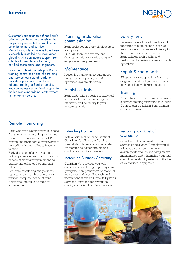### **Service**



Customer's expectation defines Borri's priority from the early analysis of the project requirements to a worldwide commissioning and service. Many thousands of systems have been successfully installed and maintained globally, with continuous support from a highly trained team of expert, certified technicians and engineers.

From the professional set-up of Borri's training centre or on site, the training and service team stand ready to provide support and contribute to tailored training at Borri or on site. You can be assured of Borri support to the highest standards no matter where in the world you are.

### Planning, installation, commissioning

Borri assist you in every single step of your project.

Our R&D team can analyse and develop solutions to a wide range of edge system requirements.

#### **Maintenance**

Preventive maintenance guarantees uninterrupted operations and optimized system efficiency.

### Analytical tests

Borri undertakes a series of analytical tests in order to guarantee higher efficiency and continuity to your system operation.

### Battery tests

Batteries have a limited time life and their proper maintenance is of high importance to guarantee efficiency to the UPS and avoid potential failures. Borri delivers high quality and performing batteries to assure smooth operations.

### Repair & spare parts

All spare parts supplied by Borri are original, tested and guaranteed to be fully compliant with Borri solutions.

### **Training**

Borri offers distributors and customers a service training structured in 3 levels. Courses can be held in Borri training centres or on-site.

### Remote monitoring

Borri Guardian Net improves Business Continuity by remote diagnostics and preventive monitoring of your UPS system and peripherals by preventing unpredictable anomalies to become failures.

Early detection of any deviations of critical parameter and prompt reaction in case of alarms result in extended uptime and enhanced operational efficiency.

Real time monitoring and periodic reports on the health of equipment provide complete peace of mind, delivering unparalleled support experience.

#### Extending Uptime

With a Borri Maintenance Contract, Guardian Net allows our Service specialists to take care of your system by monitoring its parameters and quickly reacting to anomalies.

#### Increasing Business Continuity

Guardian Net provides you with continuous monitoring of your system, giving you comprehensive operational awareness and providing technical recommendations and reports by Borri Service Centre for improving the quality and reliability of your system.

#### Reducing Total Cost of Ownership

Guardian Net is an on-site virtual Service specialist 24/7, monitoring all relevant parameters, maximizing system performance, reducing on-site maintenance and minimizing your total cost of ownership by extending the life of your critical equipment.